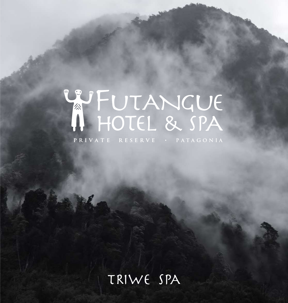# WFUTANGUE

PRIVATE RESERVE · PATAGONIA

## TRIWE SPA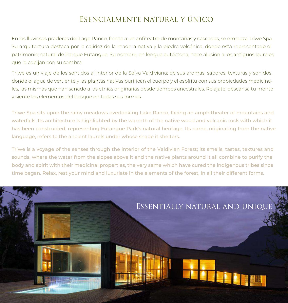### Esencialmente natural y único

En las lluviosas praderas del Lago Ranco, frente a un anfiteatro de montañas y cascadas, se emplaza Triwe Spa. Su arquitectura destaca por la calidez de la madera nativa y la piedra volcánica, donde está representado el patrimonio natural de Parque Futangue. Su nombre, en lengua autóctona, hace alusión a los antiguos laureles que lo cobijan con su sombra.

Triwe es un viaje de los sentidos al interior de la Selva Valdiviana; de sus aromas, sabores, texturas y sonidos, donde el agua de vertiente y las plantas nativas purifican el cuerpo y el espíritu con sus propiedades medicinales, las mismas que han sanado a las etnias originarias desde tiempos ancestrales. Relájate, descansa tu mente y siente los elementos del bosque en todas sus formas.

Triwe Spa sits upon the rainy meadows overlooking Lake Ranco, facing an amphitheater of mountains and waterfalls. Its architecture is highlighted by the warmth of the native wood and volcanic rock with which it has been constructed, representing Futangue Park's natural heritage. Its name, originating from the native language, refers to the ancient laurels under whose shade it shelters.

Triwe is a voyage of the senses through the interior of the Valdivian Forest; its smells, tastes, textures and sounds, where the water from the slopes above it and the native plants around it all combine to purify the body and spirit with their medicinal properties, the very same which have cured the indigenous tribes since time began. Relax, rest your mind and luxuriate in the elements of the forest, in all their different forms.

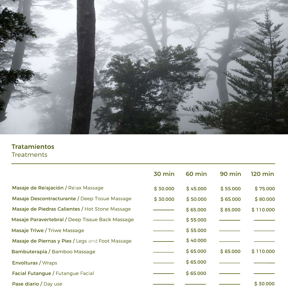

#### **Tratamientos Treatments**

|                                                  | 30 min   | 60 min   | 90 min   | <b>120 min</b> |
|--------------------------------------------------|----------|----------|----------|----------------|
| Masaje de Relajación / Relax Massage             | \$30,000 | \$45,000 | \$55,000 | \$75.000       |
| Masaje Descontracturante / Deep Tissue Massage   | \$30.000 | \$50.000 | \$65.000 | \$80.000       |
| Masaje de Piedras Calientes / Hot Stone Massage  |          | \$65.000 | \$85.000 | \$110.000      |
| Masaje Paravertebral / Deep Tissue Back Massage  |          | \$55,000 |          |                |
| Masaje Triwe / Triwe Massage                     |          | \$55.000 |          |                |
| Masaje de Piernas y Pies / Legs and Foot Massage |          | \$40,000 |          |                |
| Bambuterapia / Bamboo Massage                    |          | \$65.000 | \$85.000 | \$110.000      |
| <b>Envolturas / Wraps</b>                        |          | \$65.000 |          |                |
| Facial Futangue / Futangue Facial                |          | \$65.000 |          |                |
| Pase diario / Day use                            |          |          |          | \$30.000       |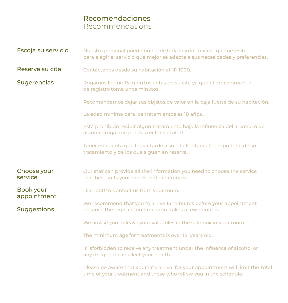#### Recomendaciones Recommendations

| Escoja su servicio              | Nuestro personal puede brindarle toda la información que necesite<br>para elegir el servicio que mejor se adapte a sus necesidades y preferencias.   |  |  |
|---------------------------------|------------------------------------------------------------------------------------------------------------------------------------------------------|--|--|
| Reserve su cita                 | Contáctenos desde su habitación al Nº 1000.                                                                                                          |  |  |
| <b>Sugerencias</b>              | Rogamos llegue 15 minu tos antes de su cita ya que el procedimiento<br>de registro toma unos minutos.                                                |  |  |
|                                 | Recomendamos dejar sus objetos de valor en la caja fuerte de su habitación.                                                                          |  |  |
|                                 | La edad mínima para los tratamientos es 18 años.                                                                                                     |  |  |
|                                 | Está prohibido recibir algún tratamiento bajo la influencia del al cohol o de<br>alguna droga que pueda afectar su salud.                            |  |  |
|                                 | Tener en cuenta que llegar tarde a su cita limitará el tiempo total de su<br>tratamiento y de los que siguen en reserva.                             |  |  |
| Choose your<br>service          | Our staff can provide all the information you need to choose the service<br>that best suits your needs and preferences.                              |  |  |
| <b>Book your</b><br>appointment | Dial 1000 to contact us from your room.                                                                                                              |  |  |
| <b>Suggestions</b>              | We recommend that you to arrive 15 minu tes before your appointment<br>because the registration procedure takes a few minutes.                       |  |  |
|                                 | We advise you to leave your valuables in the safe box in your room.                                                                                  |  |  |
|                                 | The minimum age for treatments is over 18 years old.                                                                                                 |  |  |
|                                 | It's forbidden to receive any treatment under the influence of alcohol or<br>any drug that can affect your health.                                   |  |  |
|                                 | Please be aware that your late arrival for your appointment will limit the total<br>time of your treatment and those who follow you in the schedule. |  |  |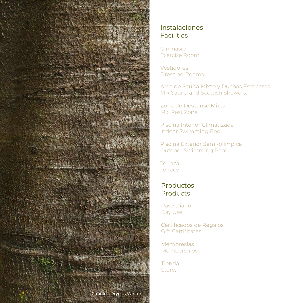

#### Instalaciones **Facilities**

Gimnasio Exercise Room.

Vestidores Dressing Rooms.

Área de Sauna Mixto y Duchas Escocesas Mix Sauna and Scottish Showers.

Zona de Descanso Mixta Mix Rest Zone.

Piscina Interior Climatizada Indoor Swimming Pool.

Piscina Exterior Semi-olímpica Outdoor Swimming Pool.

**Terraza Terrace** 

Productos Products

Pase Diario Day Use.

Certificados de Regalos Gift Certificates.

Membresías Memberships.

Tienda Store.